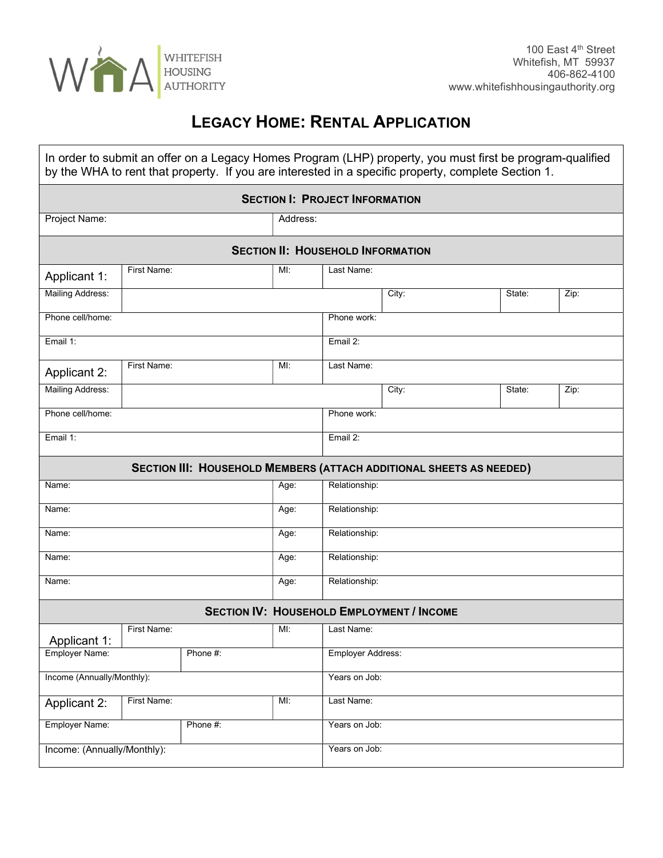

## LEGACY HOME: RENTAL APPLICATION

| In order to submit an offer on a Legacy Homes Program (LHP) property, you must first be program-qualified<br>by the WHA to rent that property. If you are interested in a specific property, complete Section 1. |             |          |      |                   |       |        |      |  |
|------------------------------------------------------------------------------------------------------------------------------------------------------------------------------------------------------------------|-------------|----------|------|-------------------|-------|--------|------|--|
| <b>SECTION I: PROJECT INFORMATION</b>                                                                                                                                                                            |             |          |      |                   |       |        |      |  |
| Project Name:<br>Address:                                                                                                                                                                                        |             |          |      |                   |       |        |      |  |
| <b>SECTION II: HOUSEHOLD INFORMATION</b>                                                                                                                                                                         |             |          |      |                   |       |        |      |  |
| Applicant 1:                                                                                                                                                                                                     | First Name: |          | MI:  | Last Name:        |       |        |      |  |
| Mailing Address:                                                                                                                                                                                                 |             |          |      |                   | City: | State: | Zip: |  |
| Phone cell/home:                                                                                                                                                                                                 |             |          |      | Phone work:       |       |        |      |  |
| Email 1:                                                                                                                                                                                                         |             |          |      | Email 2:          |       |        |      |  |
| <b>Applicant 2:</b>                                                                                                                                                                                              | First Name: |          | MI:  | Last Name:        |       |        |      |  |
| Mailing Address:                                                                                                                                                                                                 |             |          |      |                   | City: | State: | Zip: |  |
| Phone cell/home:                                                                                                                                                                                                 |             |          |      | Phone work:       |       |        |      |  |
| Email 1:                                                                                                                                                                                                         |             |          |      | Email 2:          |       |        |      |  |
| SECTION III: HOUSEHOLD MEMBERS (ATTACH ADDITIONAL SHEETS AS NEEDED)                                                                                                                                              |             |          |      |                   |       |        |      |  |
| Name:                                                                                                                                                                                                            |             |          | Age: | Relationship:     |       |        |      |  |
| Name:                                                                                                                                                                                                            |             |          | Age: | Relationship:     |       |        |      |  |
| Name:                                                                                                                                                                                                            |             |          | Age: | Relationship:     |       |        |      |  |
| Name:                                                                                                                                                                                                            |             |          | Age: | Relationship:     |       |        |      |  |
| Name:                                                                                                                                                                                                            |             |          | Age: | Relationship:     |       |        |      |  |
| <b>SECTION IV: HOUSEHOLD EMPLOYMENT / INCOME</b>                                                                                                                                                                 |             |          |      |                   |       |        |      |  |
| Applicant 1:                                                                                                                                                                                                     | First Name: |          | MI:  | Last Name:        |       |        |      |  |
| Employer Name:                                                                                                                                                                                                   |             | Phone #: |      | Employer Address: |       |        |      |  |
| Income (Annually/Monthly):                                                                                                                                                                                       |             |          |      | Years on Job:     |       |        |      |  |
| <b>Applicant 2:</b>                                                                                                                                                                                              | First Name: |          | MI:  | Last Name:        |       |        |      |  |
| Employer Name:                                                                                                                                                                                                   |             | Phone #: |      | Years on Job:     |       |        |      |  |
| Income: (Annually/Monthly):                                                                                                                                                                                      |             |          |      | Years on Job:     |       |        |      |  |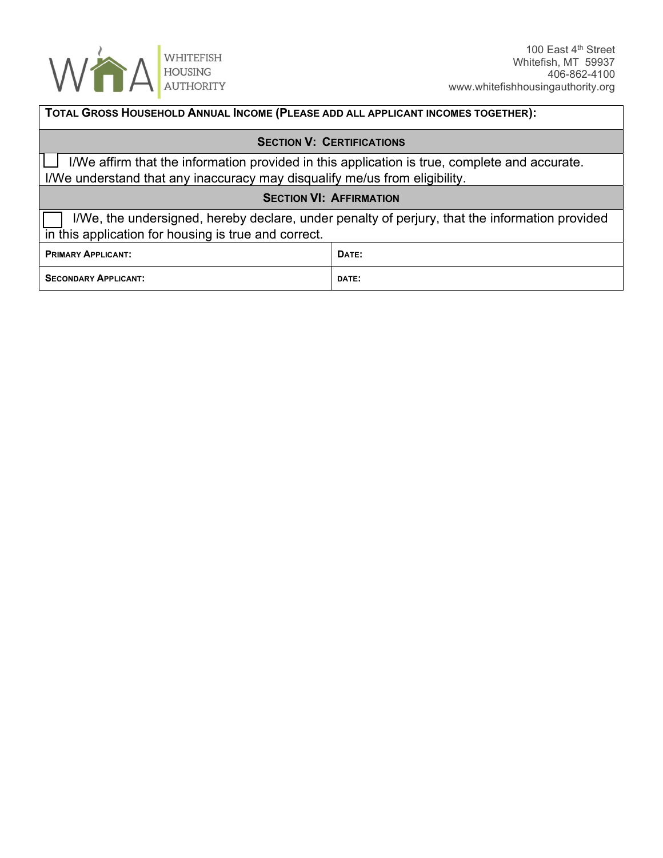

| TOTAL GROSS HOUSEHOLD ANNUAL INCOME (PLEASE ADD ALL APPLICANT INCOMES TOGETHER):                                                                                            |       |  |  |  |  |
|-----------------------------------------------------------------------------------------------------------------------------------------------------------------------------|-------|--|--|--|--|
| <b>SECTION V: CERTIFICATIONS</b>                                                                                                                                            |       |  |  |  |  |
| I/We affirm that the information provided in this application is true, complete and accurate.<br>I/We understand that any inaccuracy may disqualify me/us from eligibility. |       |  |  |  |  |
| <b>SECTION VI: AFFIRMATION</b>                                                                                                                                              |       |  |  |  |  |
| I/We, the undersigned, hereby declare, under penalty of perjury, that the information provided<br>in this application for housing is true and correct.                      |       |  |  |  |  |
| <b>PRIMARY APPLICANT:</b>                                                                                                                                                   | DATE: |  |  |  |  |
| <b>SECONDARY APPLICANT:</b>                                                                                                                                                 | DATE: |  |  |  |  |